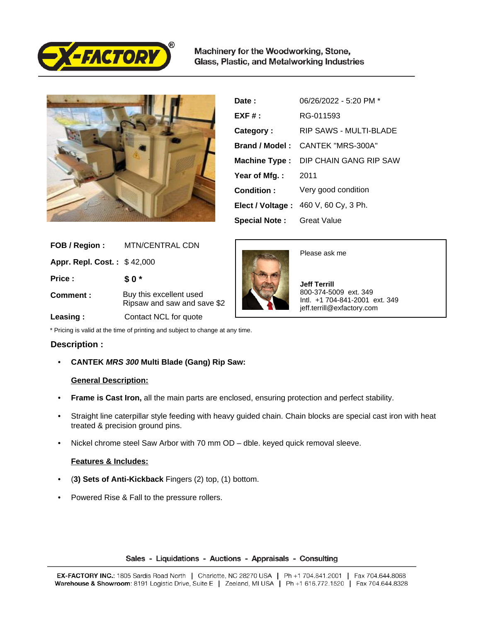

Machinery for the Woodworking, Stone, Glass, Plastic, and Metalworking Industries



| Date:                | 06/26/2022 - 5:20 PM *               |
|----------------------|--------------------------------------|
| $EXF#$ :             | RG-011593                            |
| Category:            | RIP SAWS - MULTI-BLADE               |
| Brand / Model:       | CANTEK "MRS-300A"                    |
|                      | Machine Type: DIP CHAIN GANG RIP SAW |
| Year of Mfg.:        | - 2011                               |
| Condition:           | Very good condition                  |
|                      | Elect / Voltage: 460 V, 60 Cy, 3 Ph. |
| <b>Special Note:</b> | Great Value                          |

| FOB / Region:                      | <b>MTN/CENTRAL CDN</b>                                 |
|------------------------------------|--------------------------------------------------------|
| <b>Appr. Repl. Cost.: \$42,000</b> |                                                        |
| Price:                             | \$0*                                                   |
| Comment:                           | Buy this excellent used<br>Ripsaw and saw and save \$2 |
| Leasing:                           | Contact NCL for quote                                  |



Please ask me

 **Jeff Terrill** 800-374-5009 ext. 349 Intl. +1 704-841-2001 ext. 349 jeff.terrill@exfactory.com

\* Pricing is valid at the time of printing and subject to change at any time.

# **Description :**

• **CANTEK MRS 300 Multi Blade (Gang) Rip Saw:** 

## **General Description:**

- **Frame is Cast Iron,** all the main parts are enclosed, ensuring protection and perfect stability.
- Straight line caterpillar style feeding with heavy guided chain. Chain blocks are special cast iron with heat treated & precision ground pins.
- Nickel chrome steel Saw Arbor with 70 mm OD dble. keyed quick removal sleeve.

## **Features & Includes:**

- (**3) Sets of Anti-Kickback** Fingers (2) top, (1) bottom.
- Powered Rise & Fall to the pressure rollers.

### Sales - Liquidations - Auctions - Appraisals - Consulting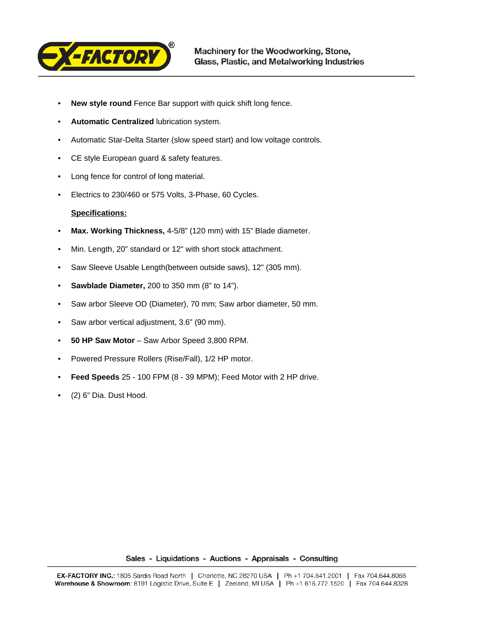

- **New style round** Fence Bar support with quick shift long fence.
- **Automatic Centralized** lubrication system.
- Automatic Star-Delta Starter (slow speed start) and low voltage controls.
- CE style European guard & safety features.
- Long fence for control of long material.
- Electrics to 230/460 or 575 Volts, 3-Phase, 60 Cycles.

## **Specifications:**

- **Max. Working Thickness,** 4-5/8" (120 mm) with 15" Blade diameter.
- Min. Length, 20" standard or 12" with short stock attachment.
- Saw Sleeve Usable Length(between outside saws), 12" (305 mm).
- **Sawblade Diameter,** 200 to 350 mm (8" to 14").
- Saw arbor Sleeve OD (Diameter), 70 mm; Saw arbor diameter, 50 mm.
- Saw arbor vertical adjustment, 3.6" (90 mm).
- **50 HP Saw Motor**  Saw Arbor Speed 3,800 RPM.
- Powered Pressure Rollers (Rise/Fall), 1/2 HP motor.
- **Feed Speeds** 25 100 FPM (8 39 MPM); Feed Motor with 2 HP drive.
- (2) 6" Dia. Dust Hood.